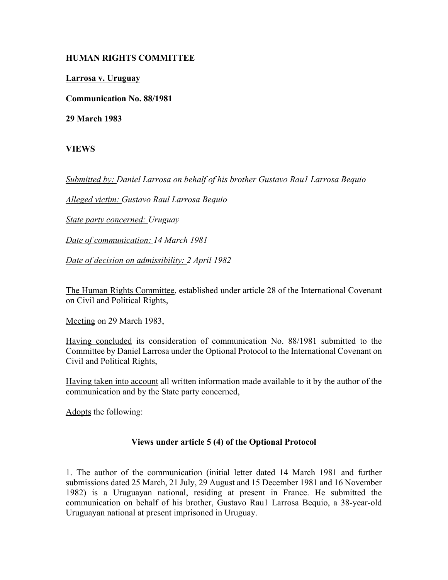## **HUMAN RIGHTS COMMITTEE**

**Larrosa v. Uruguay**

**Communication No. 88/1981**

**29 March 1983**

**VIEWS**

*Submitted by: Daniel Larrosa on behalf of his brother Gustavo Rau1 Larrosa Bequio* 

*Alleged victim: Gustavo Raul Larrosa Bequio* 

*State party concerned: Uruguay* 

*Date of communication: 14 March 1981* 

*Date of decision on admissibility: 2 April 1982*

The Human Rights Committee, established under article 28 of the International Covenant on Civil and Political Rights,

Meeting on 29 March 1983,

Having concluded its consideration of communication No. 88/1981 submitted to the Committee by Daniel Larrosa under the Optional Protocol to the International Covenant on Civil and Political Rights,

Having taken into account all written information made available to it by the author of the communication and by the State party concerned,

Adopts the following:

## **Views under article 5 (4) of the Optional Protocol**

1. The author of the communication (initial letter dated 14 March 1981 and further submissions dated 25 March, 21 July, 29 August and 15 December 1981 and 16 November 1982) is a Uruguayan national, residing at present in France. He submitted the communication on behalf of his brother, Gustavo Rau1 Larrosa Bequio, a 38-year-old Uruguayan national at present imprisoned in Uruguay.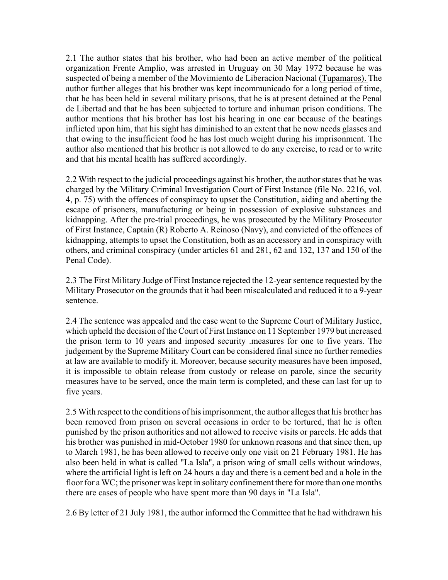2.1 The author states that his brother, who had been an active member of the political organization Frente Amplio, was arrested in Uruguay on 30 May 1972 because he was suspected of being a member of the Movimiento de Liberacion Nacional (Tupamaros). The author further alleges that his brother was kept incommunicado for a long period of time, that he has been held in several military prisons, that he is at present detained at the Penal de Libertad and that he has been subjected to torture and inhuman prison conditions. The author mentions that his brother has lost his hearing in one ear because of the beatings inflicted upon him, that his sight has diminished to an extent that he now needs glasses and that owing to the insufficient food he has lost much weight during his imprisonment. The author also mentioned that his brother is not allowed to do any exercise, to read or to write and that his mental health has suffered accordingly.

2.2 With respect to the judicial proceedings against his brother, the author states that he was charged by the Military Criminal Investigation Court of First Instance (file No. 2216, vol. 4, p. 75) with the offences of conspiracy to upset the Constitution, aiding and abetting the escape of prisoners, manufacturing or being in possession of explosive substances and kidnapping. After the pre-trial proceedings, he was prosecuted by the Military Prosecutor of First Instance, Captain (R) Roberto A. Reinoso (Navy), and convicted of the offences of kidnapping, attempts to upset the Constitution, both as an accessory and in conspiracy with others, and criminal conspiracy (under articles 61 and 281, 62 and 132, 137 and 150 of the Penal Code).

2.3 The First Military Judge of First Instance rejected the 12-year sentence requested by the Military Prosecutor on the grounds that it had been miscalculated and reduced it to a 9-year sentence.

2.4 The sentence was appealed and the case went to the Supreme Court of Military Justice, which upheld the decision of the Court of First Instance on 11 September 1979 but increased the prison term to 10 years and imposed security .measures for one to five years. The judgement by the Supreme Military Court can be considered final since no further remedies at law are available to modify it. Moreover, because security measures have been imposed, it is impossible to obtain release from custody or release on parole, since the security measures have to be served, once the main term is completed, and these can last for up to five years.

2.5 With respect to the conditions of his imprisonment, the author alleges that his brother has been removed from prison on several occasions in order to be tortured, that he is often punished by the prison authorities and not allowed to receive visits or parcels. He adds that his brother was punished in mid-October 1980 for unknown reasons and that since then, up to March 1981, he has been allowed to receive only one visit on 21 February 1981. He has also been held in what is called "La Isla", a prison wing of small cells without windows, where the artificial light is left on 24 hours a day and there is a cement bed and a hole in the floor for a WC; the prisoner was kept in solitary confinement there for more than one months there are cases of people who have spent more than 90 days in "La Isla".

2.6 By letter of 21 July 1981, the author informed the Committee that he had withdrawn his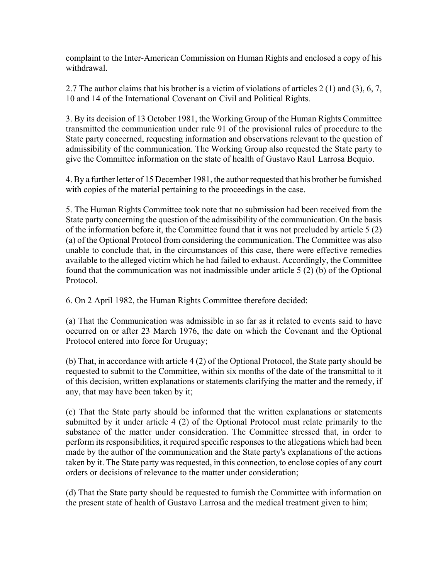complaint to the Inter-American Commission on Human Rights and enclosed a copy of his withdrawal.

2.7 The author claims that his brother is a victim of violations of articles 2 (1) and (3), 6, 7, 10 and 14 of the International Covenant on Civil and Political Rights.

3. By its decision of 13 October 1981, the Working Group of the Human Rights Committee transmitted the communication under rule 91 of the provisional rules of procedure to the State party concerned, requesting information and observations relevant to the question of admissibility of the communication. The Working Group also requested the State party to give the Committee information on the state of health of Gustavo Rau1 Larrosa Bequio.

4. By a further letter of 15 December 1981, the author requested that his brother be furnished with copies of the material pertaining to the proceedings in the case.

5. The Human Rights Committee took note that no submission had been received from the State party concerning the question of the admissibility of the communication. On the basis of the information before it, the Committee found that it was not precluded by article 5 (2) (a) of the Optional Protocol from considering the communication. The Committee was also unable to conclude that, in the circumstances of this case, there were effective remedies available to the alleged victim which he had failed to exhaust. Accordingly, the Committee found that the communication was not inadmissible under article 5 (2) (b) of the Optional Protocol.

6. On 2 April 1982, the Human Rights Committee therefore decided:

(a) That the Communication was admissible in so far as it related to events said to have occurred on or after 23 March 1976, the date on which the Covenant and the Optional Protocol entered into force for Uruguay;

(b) That, in accordance with article 4 (2) of the Optional Protocol, the State party should be requested to submit to the Committee, within six months of the date of the transmittal to it of this decision, written explanations or statements clarifying the matter and the remedy, if any, that may have been taken by it;

(c) That the State party should be informed that the written explanations or statements submitted by it under article 4 (2) of the Optional Protocol must relate primarily to the substance of the matter under consideration. The Committee stressed that, in order to perform its responsibilities, it required specific responses to the allegations which had been made by the author of the communication and the State party's explanations of the actions taken by it. The State party was requested, in this connection, to enclose copies of any court orders or decisions of relevance to the matter under consideration;

(d) That the State party should be requested to furnish the Committee with information on the present state of health of Gustavo Larrosa and the medical treatment given to him;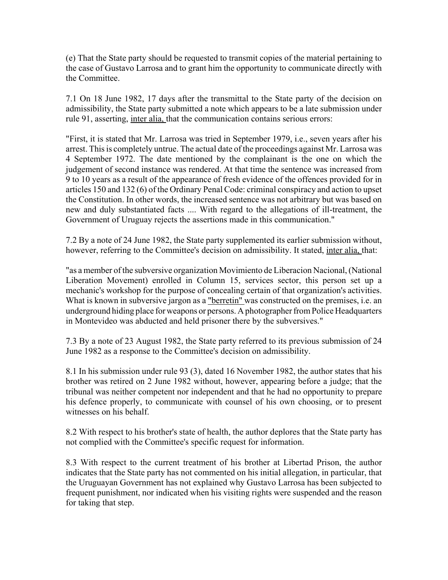(e) That the State party should be requested to transmit copies of the material pertaining to the case of Gustavo Larrosa and to grant him the opportunity to communicate directly with the Committee.

7.1 On 18 June 1982, 17 days after the transmittal to the State party of the decision on admissibility, the State party submitted a note which appears to be a late submission under rule 91, asserting, inter alia, that the communication contains serious errors:

"First, it is stated that Mr. Larrosa was tried in September 1979, i.e., seven years after his arrest. This is completely untrue. The actual date of the proceedings against Mr. Larrosa was 4 September 1972. The date mentioned by the complainant is the one on which the judgement of second instance was rendered. At that time the sentence was increased from 9 to 10 years as a result of the appearance of fresh evidence of the offences provided for in articles 150 and 132 (6) of the Ordinary Penal Code: criminal conspiracy and action to upset the Constitution. In other words, the increased sentence was not arbitrary but was based on new and duly substantiated facts .... With regard to the allegations of ill-treatment, the Government of Uruguay rejects the assertions made in this communication."

7.2 By a note of 24 June 1982, the State party supplemented its earlier submission without, however, referring to the Committee's decision on admissibility. It stated, inter alia, that:

"as a member of the subversive organization Movimiento de Liberacion Nacional, (National Liberation Movement) enrolled in Column 15, services sector, this person set up a mechanic's workshop for the purpose of concealing certain of that organization's activities. What is known in subversive jargon as a "berretin" was constructed on the premises, i.e. an underground hiding place for weapons or persons. A photographer from Police Headquarters in Montevideo was abducted and held prisoner there by the subversives."

7.3 By a note of 23 August 1982, the State party referred to its previous submission of 24 June 1982 as a response to the Committee's decision on admissibility.

8.1 In his submission under rule 93 (3), dated 16 November 1982, the author states that his brother was retired on 2 June 1982 without, however, appearing before a judge; that the tribunal was neither competent nor independent and that he had no opportunity to prepare his defence properly, to communicate with counsel of his own choosing, or to present witnesses on his behalf.

8.2 With respect to his brother's state of health, the author deplores that the State party has not complied with the Committee's specific request for information.

8.3 With respect to the current treatment of his brother at Libertad Prison, the author indicates that the State party has not commented on his initial allegation, in particular, that the Uruguayan Government has not explained why Gustavo Larrosa has been subjected to frequent punishment, nor indicated when his visiting rights were suspended and the reason for taking that step.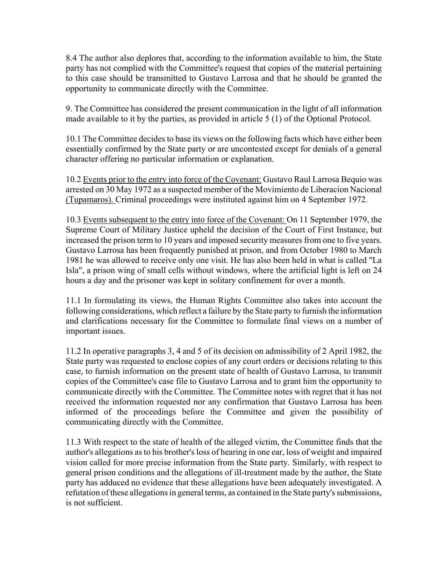8.4 The author also deplores that, according to the information available to him, the State party has not complied with the Committee's request that copies of the material pertaining to this case should be transmitted to Gustavo Larrosa and that he should be granted the opportunity to communicate directly with the Committee.

9. The Committee has considered the present communication in the light of all information made available to it by the parties, as provided in article 5 (1) of the Optional Protocol.

10.1 The Committee decides to base its views on the following facts which have either been essentially confirmed by the State party or are uncontested except for denials of a general character offering no particular information or explanation.

10.2 Events prior to the entry into force of the Covenant: Gustavo Raul Larrosa Bequio was arrested on 30 May 1972 as a suspected member of the Movimiento de Liberacion Nacional (Tupamaros). Criminal proceedings were instituted against him on 4 September 1972.

10.3 Events subsequent to the entry into force of the Covenant: On 11 September 1979, the Supreme Court of Military Justice upheld the decision of the Court of First Instance, but increased the prison term to 10 years and imposed security measures from one to five years. Gustavo Larrosa has been frequently punished at prison, and from October 1980 to March 1981 he was allowed to receive only one visit. He has also been held in what is called "La Isla", a prison wing of small cells without windows, where the artificial light is left on 24 hours a day and the prisoner was kept in solitary confinement for over a month.

11.1 In formulating its views, the Human Rights Committee also takes into account the following considerations, which reflect a failure by the State party to furnish the information and clarifications necessary for the Committee to formulate final views on a number of important issues.

11.2 In operative paragraphs 3, 4 and 5 of its decision on admissibility of 2 April 1982, the State party was requested to enclose copies of any court orders or decisions relating to this case, to furnish information on the present state of health of Gustavo Larrosa, to transmit copies of the Committee's case file to Gustavo Larrosa and to grant him the opportunity to communicate directly with the Committee. The Committee notes with regret that it has not received the information requested nor any confirmation that Gustavo Larrosa has been informed of the proceedings before the Committee and given the possibility of communicating directly with the Committee.

11.3 With respect to the state of health of the alleged victim, the Committee finds that the author's allegations as to his brother's loss of hearing in one ear, loss of weight and impaired vision called for more precise information from the State party. Similarly, with respect to general prison conditions and the allegations of ill-treatment made by the author, the State party has adduced no evidence that these allegations have been adequately investigated. A refutation of these allegations in general terms, as contained in the State party's submissions, is not sufficient.